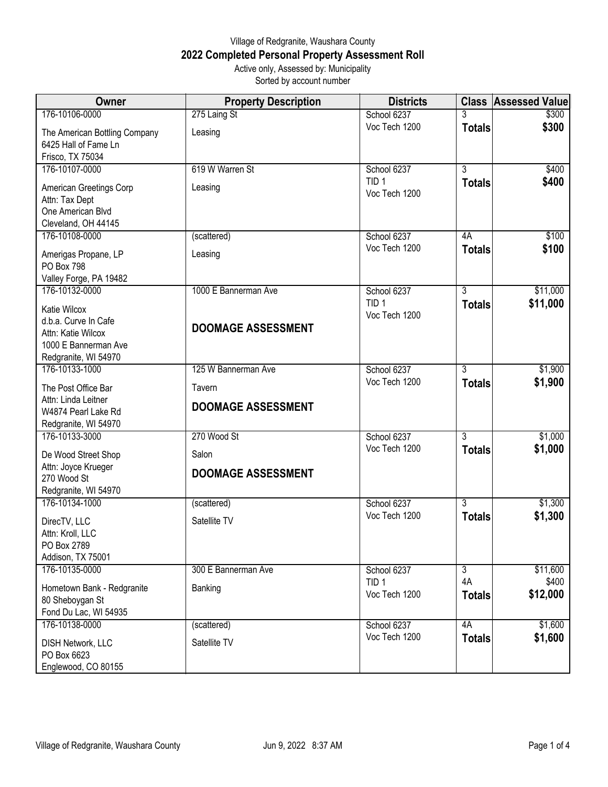## Village of Redgranite, Waushara County **2022 Completed Personal Property Assessment Roll** Active only, Assessed by: Municipality

| Active only, Assessed by: Municipality |  |
|----------------------------------------|--|
| Sorted by account number               |  |
|                                        |  |

| Owner                                                                                                      | <b>Property Description</b>         | <b>Districts</b>                  |                     | <b>Class Assessed Value</b> |
|------------------------------------------------------------------------------------------------------------|-------------------------------------|-----------------------------------|---------------------|-----------------------------|
| 176-10106-0000                                                                                             | 275 Laing St                        | School 6237                       | 3                   | \$300                       |
| The American Bottling Company<br>6425 Hall of Fame Ln<br>Frisco, TX 75034                                  | Leasing                             | Voc Tech 1200                     | <b>Totals</b>       | \$300                       |
| 176-10107-0000                                                                                             | 619 W Warren St                     | School 6237                       | $\overline{3}$      | \$400                       |
| American Greetings Corp<br>Attn: Tax Dept<br>One American Blvd<br>Cleveland, OH 44145                      | Leasing                             | TID <sub>1</sub><br>Voc Tech 1200 | <b>Totals</b>       | \$400                       |
| 176-10108-0000                                                                                             | (scattered)                         | School 6237                       | 4A                  | \$100                       |
| Amerigas Propane, LP<br>PO Box 798<br>Valley Forge, PA 19482                                               | Leasing                             | Voc Tech 1200                     | <b>Totals</b>       | \$100                       |
| 176-10132-0000                                                                                             | 1000 E Bannerman Ave                | School 6237                       | $\overline{3}$      | \$11,000                    |
| Katie Wilcox<br>d.b.a. Curve In Cafe<br>Attn: Katie Wilcox<br>1000 E Bannerman Ave<br>Redgranite, WI 54970 | <b>DOOMAGE ASSESSMENT</b>           | TID <sub>1</sub><br>Voc Tech 1200 | <b>Totals</b>       | \$11,000                    |
| 176-10133-1000                                                                                             | 125 W Bannerman Ave                 | School 6237                       | $\overline{3}$      | \$1,900                     |
| The Post Office Bar<br>Attn: Linda Leitner<br>W4874 Pearl Lake Rd<br>Redgranite, WI 54970                  | Tavern<br><b>DOOMAGE ASSESSMENT</b> | Voc Tech 1200                     | <b>Totals</b>       | \$1,900                     |
| 176-10133-3000                                                                                             | 270 Wood St                         | School 6237                       | $\overline{3}$      | \$1,000                     |
| De Wood Street Shop<br>Attn: Joyce Krueger<br>270 Wood St<br>Redgranite, WI 54970                          | Salon<br><b>DOOMAGE ASSESSMENT</b>  | Voc Tech 1200                     | <b>Totals</b>       | \$1,000                     |
| 176-10134-1000                                                                                             | (scattered)                         | School 6237                       | $\overline{3}$      | \$1,300                     |
| DirecTV, LLC<br>Attn: Kroll, LLC<br>PO Box 2789<br>Addison, TX 75001                                       | Satellite TV                        | Voc Tech 1200                     | <b>Totals</b>       | \$1,300                     |
| 176-10135-0000                                                                                             | 300 E Bannerman Ave                 | School 6237                       | $\overline{3}$      | \$11,600                    |
| Hometown Bank - Redgranite<br>80 Sheboygan St<br>Fond Du Lac, WI 54935                                     | Banking                             | TID <sub>1</sub><br>Voc Tech 1200 | 4A<br><b>Totals</b> | \$400<br>\$12,000           |
| 176-10138-0000                                                                                             | (scattered)                         | School 6237                       | 4A                  | \$1,600                     |
| <b>DISH Network, LLC</b><br>PO Box 6623<br>Englewood, CO 80155                                             | Satellite TV                        | Voc Tech 1200                     | <b>Totals</b>       | \$1,600                     |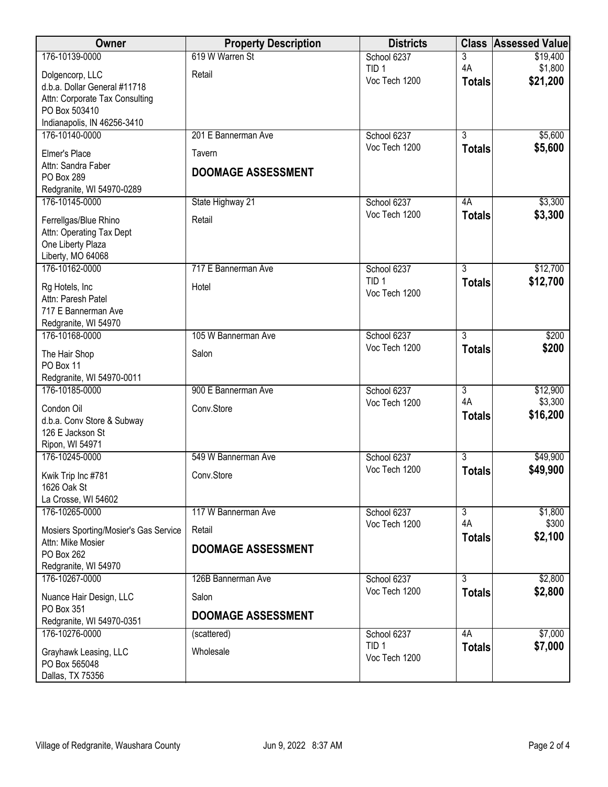| Owner                                        | <b>Property Description</b> | <b>Districts</b>                  | <b>Class</b>         | <b>Assessed Value</b> |
|----------------------------------------------|-----------------------------|-----------------------------------|----------------------|-----------------------|
| 176-10139-0000                               | 619 W Warren St             | School 6237                       | 3                    | \$19,400              |
| Dolgencorp, LLC                              | Retail                      | TID <sub>1</sub><br>Voc Tech 1200 | 4A                   | \$1,800               |
| d.b.a. Dollar General #11718                 |                             |                                   | <b>Totals</b>        | \$21,200              |
| Attn: Corporate Tax Consulting               |                             |                                   |                      |                       |
| PO Box 503410<br>Indianapolis, IN 46256-3410 |                             |                                   |                      |                       |
| 176-10140-0000                               | 201 E Bannerman Ave         | School 6237                       | $\overline{3}$       | \$5,600               |
|                                              |                             | Voc Tech 1200                     | <b>Totals</b>        | \$5,600               |
| Elmer's Place<br>Attn: Sandra Faber          | Tavern                      |                                   |                      |                       |
| PO Box 289                                   | <b>DOOMAGE ASSESSMENT</b>   |                                   |                      |                       |
| Redgranite, WI 54970-0289                    |                             |                                   |                      |                       |
| 176-10145-0000                               | State Highway 21            | School 6237                       | 4A                   | \$3,300               |
| Ferrellgas/Blue Rhino                        | Retail                      | Voc Tech 1200                     | <b>Totals</b>        | \$3,300               |
| Attn: Operating Tax Dept                     |                             |                                   |                      |                       |
| One Liberty Plaza                            |                             |                                   |                      |                       |
| Liberty, MO 64068                            | 717 E Bannerman Ave         |                                   |                      |                       |
| 176-10162-0000                               |                             | School 6237<br>TID <sub>1</sub>   | 3<br><b>Totals</b>   | \$12,700<br>\$12,700  |
| Rg Hotels, Inc.                              | Hotel                       | Voc Tech 1200                     |                      |                       |
| Attn: Paresh Patel<br>717 E Bannerman Ave    |                             |                                   |                      |                       |
| Redgranite, WI 54970                         |                             |                                   |                      |                       |
| 176-10168-0000                               | 105 W Bannerman Ave         | School 6237                       | $\overline{3}$       | \$200                 |
| The Hair Shop                                | Salon                       | Voc Tech 1200                     | <b>Totals</b>        | \$200                 |
| PO Box 11                                    |                             |                                   |                      |                       |
| Redgranite, WI 54970-0011                    |                             |                                   |                      |                       |
| 176-10185-0000                               | 900 E Bannerman Ave         | School 6237                       | $\overline{3}$<br>4A | \$12,900              |
| Condon Oil                                   | Conv.Store                  | Voc Tech 1200                     | <b>Totals</b>        | \$3,300<br>\$16,200   |
| d.b.a. Conv Store & Subway                   |                             |                                   |                      |                       |
| 126 E Jackson St<br>Ripon, WI 54971          |                             |                                   |                      |                       |
| 176-10245-0000                               | 549 W Bannerman Ave         | School 6237                       | $\overline{3}$       | \$49,900              |
| Kwik Trip Inc #781                           | Conv.Store                  | Voc Tech 1200                     | <b>Totals</b>        | \$49,900              |
| 1626 Oak St                                  |                             |                                   |                      |                       |
| La Crosse, WI 54602                          |                             |                                   |                      |                       |
| 176-10265-0000                               | 117 W Bannerman Ave         | School 6237                       | $\overline{3}$       | \$1,800               |
| Mosiers Sporting/Mosier's Gas Service        | Retail                      | Voc Tech 1200                     | 4A<br><b>Totals</b>  | \$300<br>\$2,100      |
| Attn: Mike Mosier                            | <b>DOOMAGE ASSESSMENT</b>   |                                   |                      |                       |
| PO Box 262<br>Redgranite, WI 54970           |                             |                                   |                      |                       |
| 176-10267-0000                               | 126B Bannerman Ave          | School 6237                       | $\overline{3}$       | \$2,800               |
| Nuance Hair Design, LLC                      | Salon                       | Voc Tech 1200                     | <b>Totals</b>        | \$2,800               |
| PO Box 351                                   |                             |                                   |                      |                       |
| Redgranite, WI 54970-0351                    | <b>DOOMAGE ASSESSMENT</b>   |                                   |                      |                       |
| 176-10276-0000                               | (scattered)                 | School 6237                       | 4A                   | \$7,000               |
| Grayhawk Leasing, LLC                        | Wholesale                   | TID <sub>1</sub>                  | <b>Totals</b>        | \$7,000               |
| PO Box 565048                                |                             | Voc Tech 1200                     |                      |                       |
| Dallas, TX 75356                             |                             |                                   |                      |                       |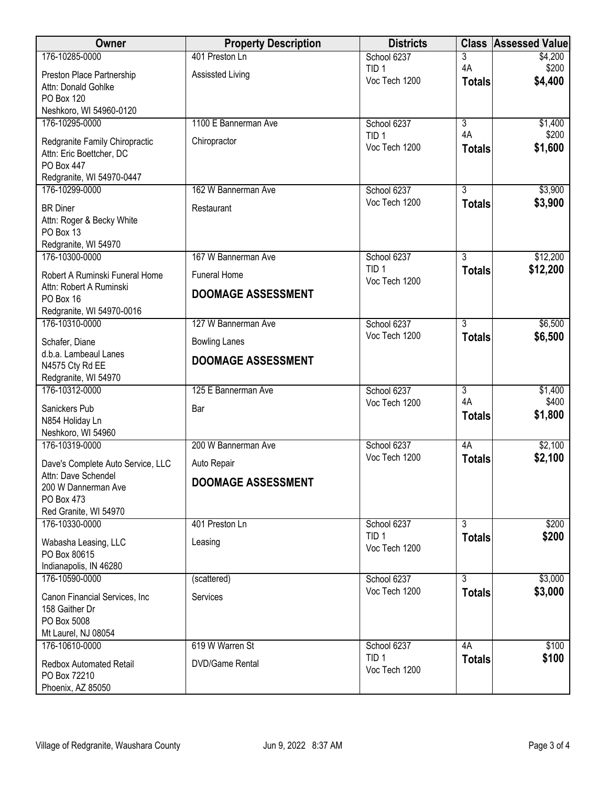| Owner                                      | <b>Property Description</b> | <b>Districts</b>                  |                | <b>Class Assessed Value</b> |
|--------------------------------------------|-----------------------------|-----------------------------------|----------------|-----------------------------|
| 176-10285-0000                             | 401 Preston Ln              | School 6237                       | 3              | \$4,200                     |
| Preston Place Partnership                  | Assissted Living            | TID <sub>1</sub><br>Voc Tech 1200 | 4A             | \$200<br>\$4,400            |
| Attn: Donald Gohlke                        |                             |                                   | <b>Totals</b>  |                             |
| PO Box 120                                 |                             |                                   |                |                             |
| Neshkoro, WI 54960-0120<br>176-10295-0000  | 1100 E Bannerman Ave        | School 6237                       | $\overline{3}$ | \$1,400                     |
|                                            |                             | TID <sub>1</sub>                  | 4A             | \$200                       |
| Redgranite Family Chiropractic             | Chiropractor                | Voc Tech 1200                     | <b>Totals</b>  | \$1,600                     |
| Attn: Eric Boettcher, DC<br>PO Box 447     |                             |                                   |                |                             |
| Redgranite, WI 54970-0447                  |                             |                                   |                |                             |
| 176-10299-0000                             | 162 W Bannerman Ave         | School 6237                       | $\overline{3}$ | \$3,900                     |
| <b>BR</b> Diner                            | Restaurant                  | Voc Tech 1200                     | <b>Totals</b>  | \$3,900                     |
| Attn: Roger & Becky White                  |                             |                                   |                |                             |
| PO Box 13                                  |                             |                                   |                |                             |
| Redgranite, WI 54970                       |                             |                                   |                |                             |
| 176-10300-0000                             | 167 W Bannerman Ave         | School 6237<br>TID <sub>1</sub>   | $\overline{3}$ | \$12,200                    |
| Robert A Ruminski Funeral Home             | <b>Funeral Home</b>         | Voc Tech 1200                     | <b>Totals</b>  | \$12,200                    |
| Attn: Robert A Ruminski<br>PO Box 16       | <b>DOOMAGE ASSESSMENT</b>   |                                   |                |                             |
| Redgranite, WI 54970-0016                  |                             |                                   |                |                             |
| 176-10310-0000                             | 127 W Bannerman Ave         | School 6237                       | $\overline{3}$ | \$6,500                     |
| Schafer, Diane                             | <b>Bowling Lanes</b>        | Voc Tech 1200                     | <b>Totals</b>  | \$6,500                     |
| d.b.a. Lambeaul Lanes                      |                             |                                   |                |                             |
| N4575 Cty Rd EE                            | <b>DOOMAGE ASSESSMENT</b>   |                                   |                |                             |
| Redgranite, WI 54970                       |                             |                                   |                |                             |
| 176-10312-0000                             | 125 E Bannerman Ave         | School 6237                       | 3<br>4A        | \$1,400                     |
| Sanickers Pub                              | Bar                         | Voc Tech 1200                     | <b>Totals</b>  | \$400<br>\$1,800            |
| N854 Holiday Ln                            |                             |                                   |                |                             |
| Neshkoro, WI 54960<br>176-10319-0000       | 200 W Bannerman Ave         | School 6237                       | 4A             | \$2,100                     |
|                                            |                             | Voc Tech 1200                     | <b>Totals</b>  | \$2,100                     |
| Dave's Complete Auto Service, LLC          | Auto Repair                 |                                   |                |                             |
| Attn: Dave Schendel<br>200 W Dannerman Ave | <b>DOOMAGE ASSESSMENT</b>   |                                   |                |                             |
| PO Box 473                                 |                             |                                   |                |                             |
| Red Granite, WI 54970                      |                             |                                   |                |                             |
| 176-10330-0000                             | 401 Preston Ln              | School 6237                       | $\overline{3}$ | \$200                       |
| Wabasha Leasing, LLC                       | Leasing                     | TID <sub>1</sub><br>Voc Tech 1200 | <b>Totals</b>  | \$200                       |
| PO Box 80615                               |                             |                                   |                |                             |
| Indianapolis, IN 46280<br>176-10590-0000   |                             |                                   | $\overline{3}$ | \$3,000                     |
|                                            | (scattered)                 | School 6237<br>Voc Tech 1200      | <b>Totals</b>  | \$3,000                     |
| Canon Financial Services, Inc              | Services                    |                                   |                |                             |
| 158 Gaither Dr<br>PO Box 5008              |                             |                                   |                |                             |
| Mt Laurel, NJ 08054                        |                             |                                   |                |                             |
| 176-10610-0000                             | 619 W Warren St             | School 6237                       | 4A             | \$100                       |
| Redbox Automated Retail                    | <b>DVD/Game Rental</b>      | TID <sub>1</sub>                  | <b>Totals</b>  | \$100                       |
| PO Box 72210                               |                             | Voc Tech 1200                     |                |                             |
| Phoenix, AZ 85050                          |                             |                                   |                |                             |